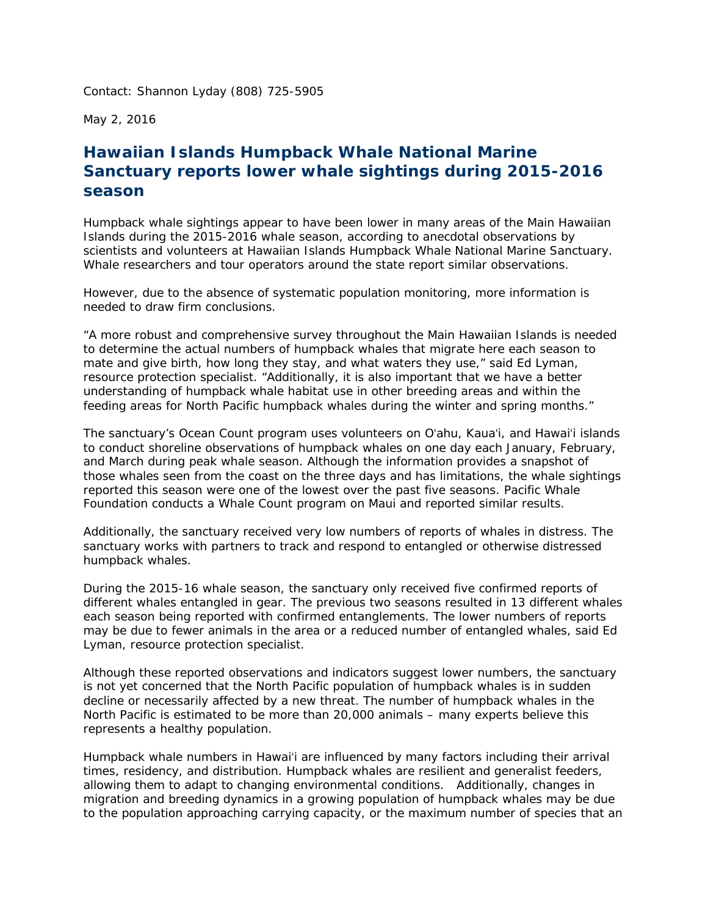Contact: Shannon Lyday (808) 725-5905

May 2, 2016

## *Hawaiian Islands Humpback Whale National Marine Sanctuary reports lower whale sightings during 2015-2016 season*

 Humpback whale sightings appear to have been lower in many areas of the Main Hawaiian scientists and volunteers at Hawaiian Islands Humpback Whale National Marine Sanctuary. Whale researchers and tour operators around the state report similar observations. Islands during the 2015-2016 whale season, according to anecdotal observations by

 However, due to the absence of systematic population monitoring, more information is needed to draw firm conclusions.

 "A more robust and comprehensive survey throughout the Main Hawaiian Islands is needed mate and give birth, how long they stay, and what waters they use," said Ed Lyman, feeding areas for North Pacific humpback whales during the winter and spring months." to determine the actual numbers of humpback whales that migrate here each season to resource protection specialist. "Additionally, it is also important that we have a better understanding of humpback whale habitat use in other breeding areas and within the

 The sanctuary's Ocean Count program uses volunteers on Oʻahu, Kauaʻi, and Hawaiʻi islands and March during peak whale season. Although the information provides a snapshot of Foundation conducts a Whale Count program on Maui and reported similar results. to conduct shoreline observations of humpback whales on one day each January, February, those whales seen from the coast on the three days and has limitations, the whale sightings reported this season were one of the lowest over the past five seasons. Pacific Whale

 Additionally, the sanctuary received very low numbers of reports of whales in distress. The sanctuary works with partners to track and respond to entangled or otherwise distressed humpback whales.

 During the 2015-16 whale season, the sanctuary only received five confirmed reports of different whales entangled in gear. The previous two seasons resulted in 13 different whales each season being reported with confirmed entanglements. The lower numbers of reports may be due to fewer animals in the area or a reduced number of entangled whales, said Ed Lyman, resource protection specialist.

 Although these reported observations and indicators suggest lower numbers, the sanctuary is not yet concerned that the North Pacific population of humpback whales is in sudden decline or necessarily affected by a new threat. The number of humpback whales in the North Pacific is estimated to be more than 20,000 animals – many experts believe this represents a healthy population.

represents a healthy population.<br>Humpback whale numbers in Hawaiʻi are influenced by many factors including their arrival allowing them to adapt to changing environmental conditions. Additionally, changes in migration and breeding dynamics in a growing population of humpback whales may be due times, residency, and distribution. Humpback whales are resilient and generalist feeders, to the population approaching carrying capacity, or the maximum number of species that an